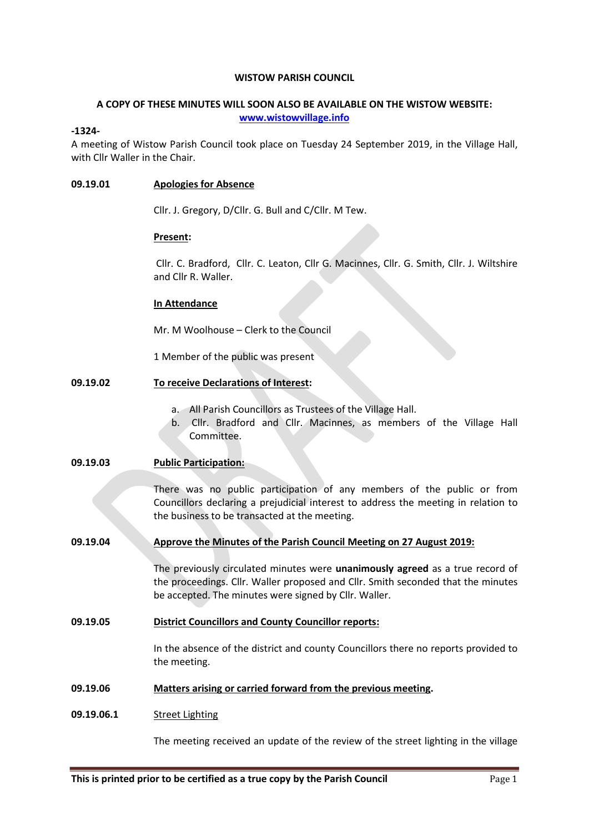### WISTOW PARISH COUNCIL

## A COPY OF THESE MINUTES WILL SOON ALSO BE AVAILABLE ON THE WISTOW WEBSITE: www.wistowvillage.info

## -1324-

A meeting of Wistow Parish Council took place on Tuesday 24 September 2019, in the Village Hall, with Cllr Waller in the Chair.

## 09.19.01 Apologies for Absence

Cllr. J. Gregory, D/Cllr. G. Bull and C/Cllr. M Tew.

### Present:

 Cllr. C. Bradford, Cllr. C. Leaton, Cllr G. Macinnes, Cllr. G. Smith, Cllr. J. Wiltshire and Cllr R. Waller.

## In Attendance

Mr. M Woolhouse – Clerk to the Council

1 Member of the public was present

# 09.19.02 To receive Declarations of Interest:

- a. All Parish Councillors as Trustees of the Village Hall.
- b. Cllr. Bradford and Cllr. Macinnes, as members of the Village Hall Committee.

## 09.19.03 Public Participation:

There was no public participation of any members of the public or from Councillors declaring a prejudicial interest to address the meeting in relation to the business to be transacted at the meeting.

09.19.04 Approve the Minutes of the Parish Council Meeting on 27 August 2019:

The previously circulated minutes were unanimously agreed as a true record of the proceedings. Cllr. Waller proposed and Cllr. Smith seconded that the minutes be accepted. The minutes were signed by Cllr. Waller.

# 09.19.05 District Councillors and County Councillor reports:

In the absence of the district and county Councillors there no reports provided to the meeting.

## 09.19.06 Matters arising or carried forward from the previous meeting.

# 09.19.06.1 Street Lighting

The meeting received an update of the review of the street lighting in the village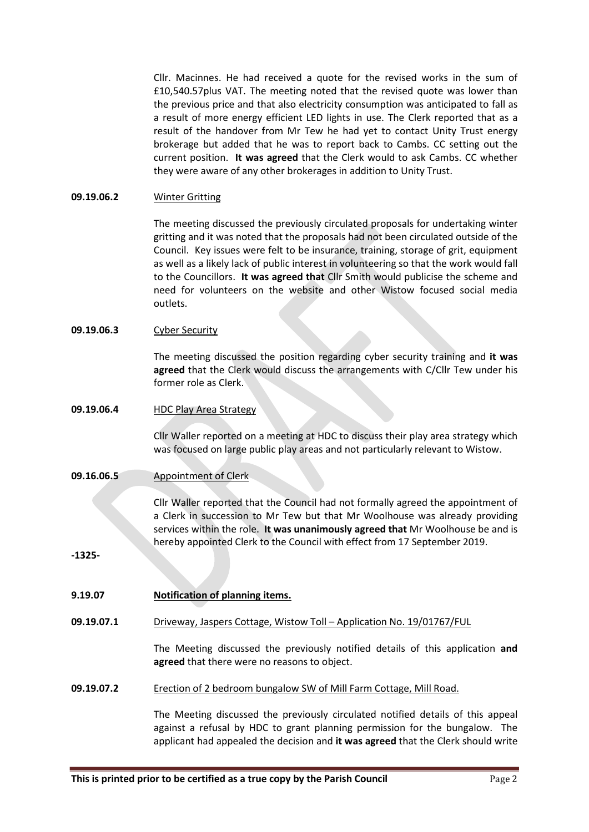Cllr. Macinnes. He had received a quote for the revised works in the sum of £10,540.57plus VAT. The meeting noted that the revised quote was lower than the previous price and that also electricity consumption was anticipated to fall as a result of more energy efficient LED lights in use. The Clerk reported that as a result of the handover from Mr Tew he had yet to contact Unity Trust energy brokerage but added that he was to report back to Cambs. CC setting out the current position. It was agreed that the Clerk would to ask Cambs. CC whether they were aware of any other brokerages in addition to Unity Trust.

#### 09.19.06.2 Winter Gritting

The meeting discussed the previously circulated proposals for undertaking winter gritting and it was noted that the proposals had not been circulated outside of the Council. Key issues were felt to be insurance, training, storage of grit, equipment as well as a likely lack of public interest in volunteering so that the work would fall to the Councillors. It was agreed that Cllr Smith would publicise the scheme and need for volunteers on the website and other Wistow focused social media outlets.

#### 09.19.06.3 Cyber Security

The meeting discussed the position regarding cyber security training and it was agreed that the Clerk would discuss the arrangements with C/Cllr Tew under his former role as Clerk.

#### 09.19.06.4 HDC Play Area Strategy

Cllr Waller reported on a meeting at HDC to discuss their play area strategy which was focused on large public play areas and not particularly relevant to Wistow.

#### 09.16.06.5 Appointment of Clerk

Cllr Waller reported that the Council had not formally agreed the appointment of a Clerk in succession to Mr Tew but that Mr Woolhouse was already providing services within the role. It was unanimously agreed that Mr Woolhouse be and is hereby appointed Clerk to the Council with effect from 17 September 2019.

-1325-

| 9.19.07 | Notification of planning items. |
|---------|---------------------------------|
|         |                                 |

09.19.07.1 Driveway, Jaspers Cottage, Wistow Toll – Application No. 19/01767/FUL

> The Meeting discussed the previously notified details of this application and agreed that there were no reasons to object.

09.19.07.2 Erection of 2 bedroom bungalow SW of Mill Farm Cottage, Mill Road.

> The Meeting discussed the previously circulated notified details of this appeal against a refusal by HDC to grant planning permission for the bungalow. The applicant had appealed the decision and it was agreed that the Clerk should write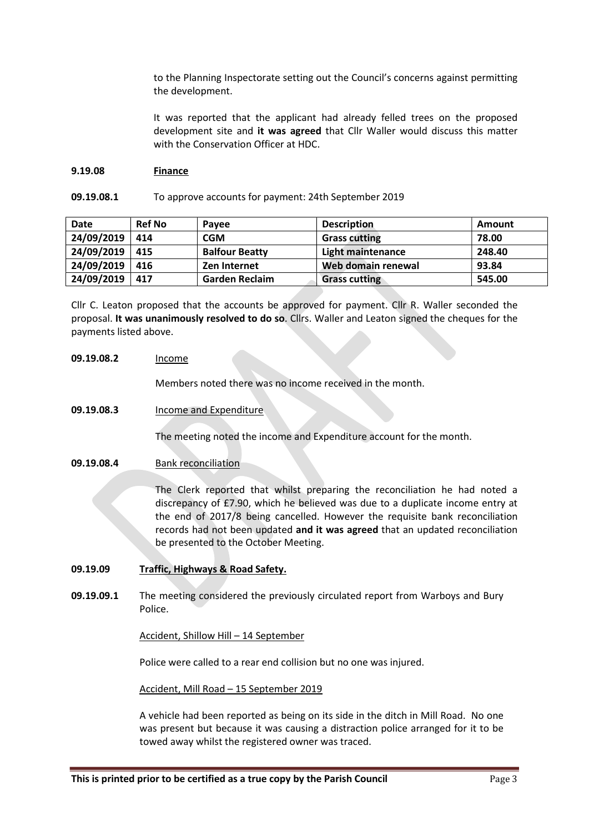to the Planning Inspectorate setting out the Council's concerns against permitting the development.

It was reported that the applicant had already felled trees on the proposed development site and it was agreed that Cllr Waller would discuss this matter with the Conservation Officer at HDC.

#### 9.19.08 Finance

#### 09.19.08.1 To approve accounts for payment: 24th September 2019

| <b>Date</b> | <b>Ref No</b> | Pavee                 | <b>Description</b>   | Amount |
|-------------|---------------|-----------------------|----------------------|--------|
| 24/09/2019  | 414           | <b>CGM</b>            | <b>Grass cutting</b> | 78.00  |
| 24/09/2019  | 415           | <b>Balfour Beatty</b> | Light maintenance    | 248.40 |
| 24/09/2019  | 416           | Zen Internet          | Web domain renewal   | 93.84  |
| 24/09/2019  | 417           | <b>Garden Reclaim</b> | <b>Grass cutting</b> | 545.00 |

Cllr C. Leaton proposed that the accounts be approved for payment. Cllr R. Waller seconded the proposal. It was unanimously resolved to do so. Cllrs. Waller and Leaton signed the cheques for the payments listed above.

### 09.19.08.2 Income

Members noted there was no income received in the month.

09.19.08.3 Income and Expenditure

The meeting noted the income and Expenditure account for the month.

09.19.08.4 Bank reconciliation

The Clerk reported that whilst preparing the reconciliation he had noted a discrepancy of £7.90, which he believed was due to a duplicate income entry at the end of 2017/8 being cancelled. However the requisite bank reconciliation records had not been updated and it was agreed that an updated reconciliation be presented to the October Meeting.

- 09.19.09 Traffic, Highways & Road Safety.
- 09.19.09.1 The meeting considered the previously circulated report from Warboys and Bury Police.

## Accident, Shillow Hill – 14 September

Police were called to a rear end collision but no one was injured.

Accident, Mill Road – 15 September 2019

A vehicle had been reported as being on its side in the ditch in Mill Road. No one was present but because it was causing a distraction police arranged for it to be towed away whilst the registered owner was traced.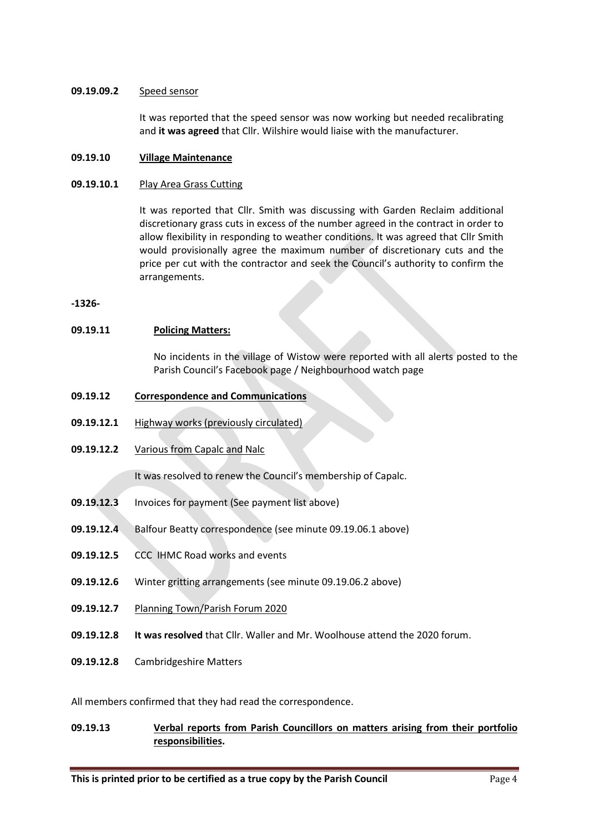### 09.19.09.2 Speed sensor

It was reported that the speed sensor was now working but needed recalibrating and it was agreed that Cllr. Wilshire would liaise with the manufacturer.

#### 09.19.10 Village Maintenance

#### 09.19.10.1 Play Area Grass Cutting

It was reported that Cllr. Smith was discussing with Garden Reclaim additional discretionary grass cuts in excess of the number agreed in the contract in order to allow flexibility in responding to weather conditions. It was agreed that Cllr Smith would provisionally agree the maximum number of discretionary cuts and the price per cut with the contractor and seek the Council's authority to confirm the arrangements.

-1326-

### 09.19.11 Policing Matters:

No incidents in the village of Wistow were reported with all alerts posted to the Parish Council's Facebook page / Neighbourhood watch page

- 09.19.12 Correspondence and Communications
- 09.19.12.1 Highway works (previously circulated)
- 09.19.12.2 Various from Capalc and Nalc

It was resolved to renew the Council's membership of Capalc.

- 09.19.12.3 Invoices for payment (See payment list above)
- 09.19.12.4 Balfour Beatty correspondence (see minute 09.19.06.1 above)
- 09.19.12.5 CCC IHMC Road works and events
- 09.19.12.6 Winter gritting arrangements (see minute 09.19.06.2 above)
- 09.19.12.7 Planning Town/Parish Forum 2020
- 09.19.12.8 It was resolved that Cllr. Waller and Mr. Woolhouse attend the 2020 forum.
- 09.19.12.8 Cambridgeshire Matters

All members confirmed that they had read the correspondence.

# 09.19.13 Verbal reports from Parish Councillors on matters arising from their portfolio responsibilities.